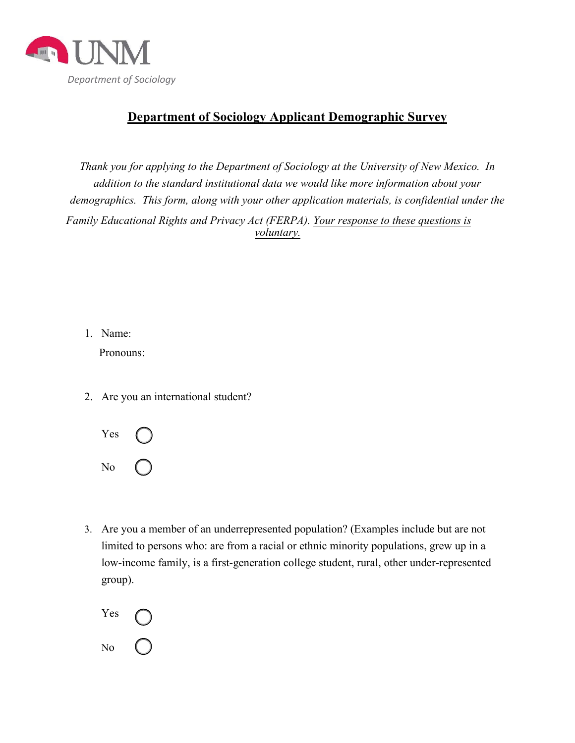

## **Department of Sociology Applicant Demographic Survey**

*Thank you for applying to the Department of Sociology at the University of New Mexico. In addition to the standard institutional data we would like more information about your demographics. This form, along with your other application materials, is confidential under the Family Educational Rights and Privacy Act (FERPA). Your response to these questions is voluntary.*

1. Name:

Pronouns:

2. Are you an international student?



3. Are you a member of an underrepresented population? (Examples include but are not limited to persons who: are from a racial or ethnic minority populations, grew up in a low-income family, is a first-generation college student, rural, other under-represented group).